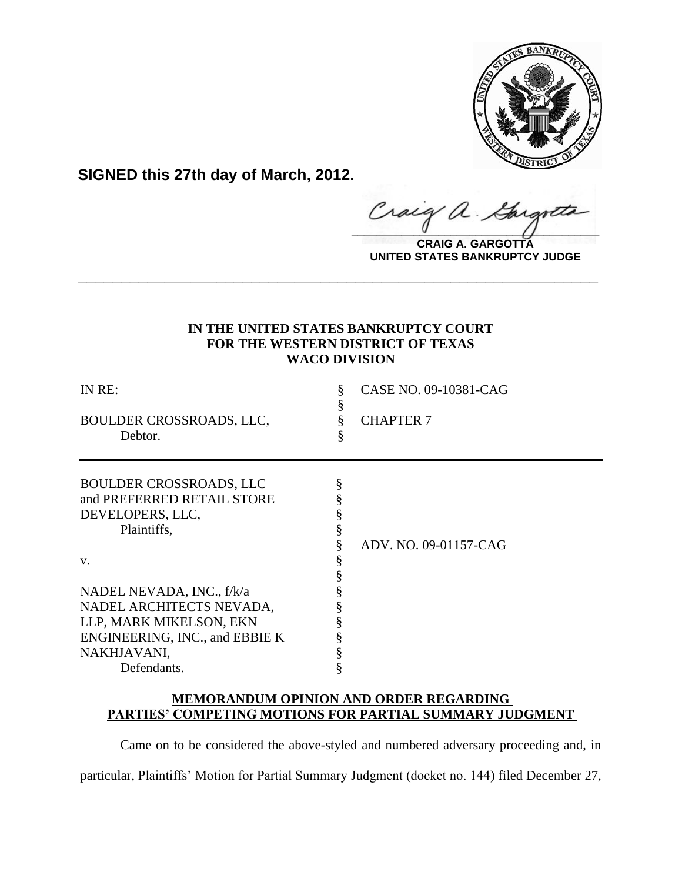

**SIGNED this 27th day of March, 2012.**

 $\hat{\mathcal{A}}$ . raca  $\frac{1}{2}$ 

**CRAIG A. GARGOTTA UNITED STATES BANKRUPTCY JUDGE**

# **IN THE UNITED STATES BANKRUPTCY COURT FOR THE WESTERN DISTRICT OF TEXAS WACO DIVISION**

**\_\_\_\_\_\_\_\_\_\_\_\_\_\_\_\_\_\_\_\_\_\_\_\_\_\_\_\_\_\_\_\_\_\_\_\_\_\_\_\_\_\_\_\_\_\_\_\_\_\_\_\_\_\_\_\_\_\_\_\_**

| IN RE:<br>BOULDER CROSSROADS, LLC,<br>Debtor.                                                   | CASE NO. 09-10381-CAG<br><b>CHAPTER 7</b> |
|-------------------------------------------------------------------------------------------------|-------------------------------------------|
| <b>BOULDER CROSSROADS, LLC</b><br>and PREFERRED RETAIL STORE<br>DEVELOPERS, LLC,<br>Plaintiffs, | ADV. NO. 09-01157-CAG                     |
| V.                                                                                              |                                           |
| NADEL NEVADA, INC., f/k/a                                                                       |                                           |
| NADEL ARCHITECTS NEVADA,                                                                        |                                           |
| LLP, MARK MIKELSON, EKN                                                                         |                                           |
| ENGINEERING, INC., and EBBIE K                                                                  |                                           |
| NAKHJAVANI,                                                                                     |                                           |
| Defendants.                                                                                     |                                           |

# **MEMORANDUM OPINION AND ORDER REGARDING PARTIES' COMPETING MOTIONS FOR PARTIAL SUMMARY JUDGMENT**

Came on to be considered the above-styled and numbered adversary proceeding and, in

particular, Plaintiffs' Motion for Partial Summary Judgment (docket no. 144) filed December 27,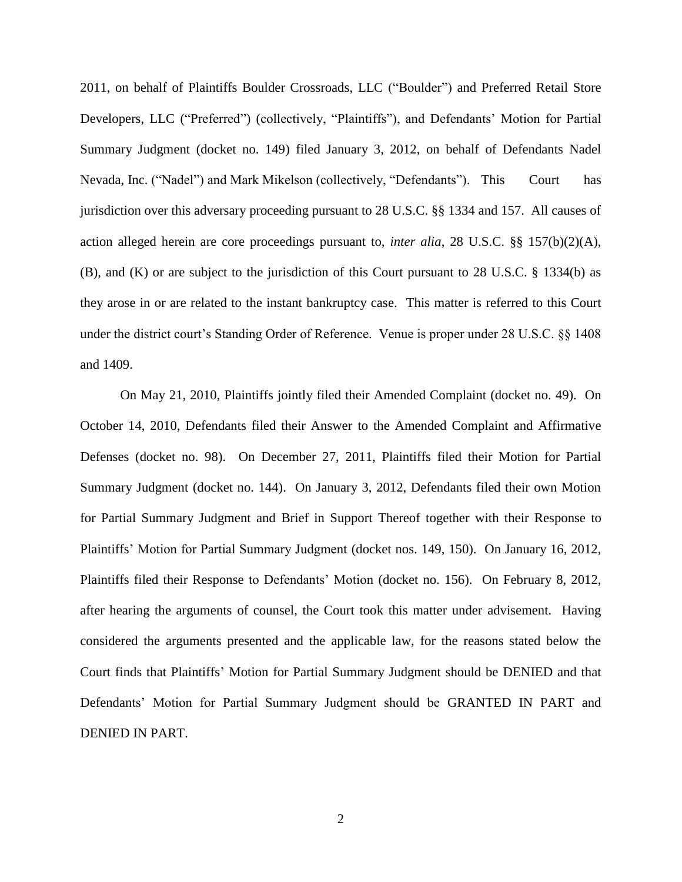2011, on behalf of Plaintiffs Boulder Crossroads, LLC ("Boulder") and Preferred Retail Store Developers, LLC ("Preferred") (collectively, "Plaintiffs"), and Defendants' Motion for Partial Summary Judgment (docket no. 149) filed January 3, 2012, on behalf of Defendants Nadel Nevada, Inc. ("Nadel") and Mark Mikelson (collectively, "Defendants"). This Court has jurisdiction over this adversary proceeding pursuant to 28 U.S.C. §§ 1334 and 157. All causes of action alleged herein are core proceedings pursuant to, *inter alia*, 28 U.S.C. §§ 157(b)(2)(A), (B), and (K) or are subject to the jurisdiction of this Court pursuant to 28 U.S.C. § 1334(b) as they arose in or are related to the instant bankruptcy case. This matter is referred to this Court under the district court's Standing Order of Reference. Venue is proper under 28 U.S.C. §§ 1408 and 1409.

On May 21, 2010, Plaintiffs jointly filed their Amended Complaint (docket no. 49). On October 14, 2010, Defendants filed their Answer to the Amended Complaint and Affirmative Defenses (docket no. 98). On December 27, 2011, Plaintiffs filed their Motion for Partial Summary Judgment (docket no. 144). On January 3, 2012, Defendants filed their own Motion for Partial Summary Judgment and Brief in Support Thereof together with their Response to Plaintiffs' Motion for Partial Summary Judgment (docket nos. 149, 150). On January 16, 2012, Plaintiffs filed their Response to Defendants' Motion (docket no. 156). On February 8, 2012, after hearing the arguments of counsel, the Court took this matter under advisement. Having considered the arguments presented and the applicable law, for the reasons stated below the Court finds that Plaintiffs' Motion for Partial Summary Judgment should be DENIED and that Defendants' Motion for Partial Summary Judgment should be GRANTED IN PART and DENIED IN PART.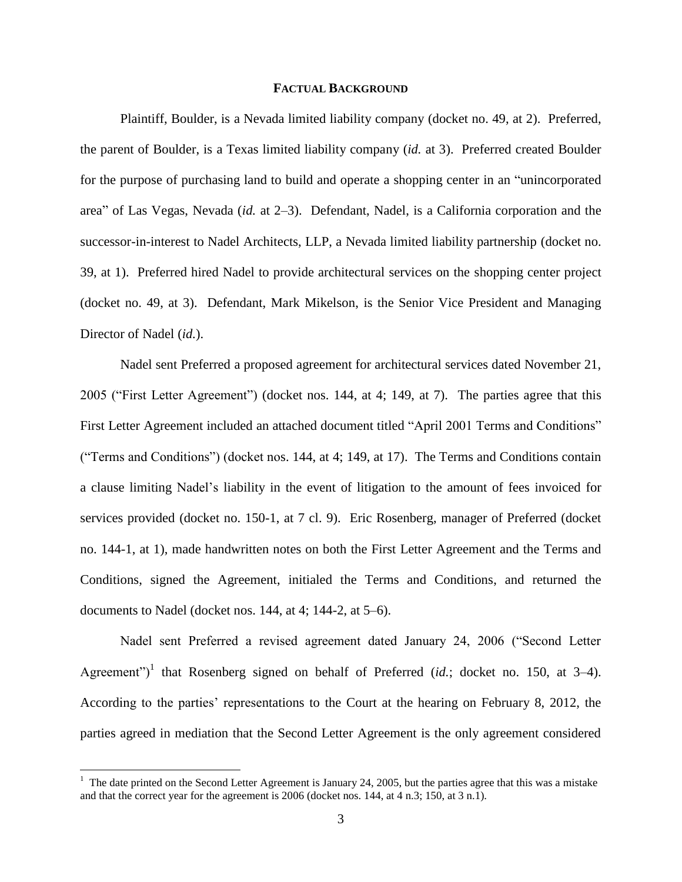## **FACTUAL BACKGROUND**

Plaintiff, Boulder, is a Nevada limited liability company (docket no. 49, at 2). Preferred, the parent of Boulder, is a Texas limited liability company (*id.* at 3). Preferred created Boulder for the purpose of purchasing land to build and operate a shopping center in an "unincorporated area" of Las Vegas, Nevada (*id.* at 2–3). Defendant, Nadel, is a California corporation and the successor-in-interest to Nadel Architects, LLP, a Nevada limited liability partnership (docket no. 39, at 1). Preferred hired Nadel to provide architectural services on the shopping center project (docket no. 49, at 3). Defendant, Mark Mikelson, is the Senior Vice President and Managing Director of Nadel (*id.*).

Nadel sent Preferred a proposed agreement for architectural services dated November 21, 2005 ("First Letter Agreement") (docket nos. 144, at 4; 149, at 7). The parties agree that this First Letter Agreement included an attached document titled "April 2001 Terms and Conditions" ("Terms and Conditions") (docket nos. 144, at 4; 149, at 17). The Terms and Conditions contain a clause limiting Nadel's liability in the event of litigation to the amount of fees invoiced for services provided (docket no. 150-1, at 7 cl. 9). Eric Rosenberg, manager of Preferred (docket no. 144-1, at 1), made handwritten notes on both the First Letter Agreement and the Terms and Conditions, signed the Agreement, initialed the Terms and Conditions, and returned the documents to Nadel (docket nos. 144, at 4; 144-2, at 5–6).

Nadel sent Preferred a revised agreement dated January 24, 2006 ("Second Letter Agreement")<sup>1</sup> that Rosenberg signed on behalf of Preferred (*id.*; docket no. 150, at 3–4). According to the parties' representations to the Court at the hearing on February 8, 2012, the parties agreed in mediation that the Second Letter Agreement is the only agreement considered

 $<sup>1</sup>$  The date printed on the Second Letter Agreement is January 24, 2005, but the parties agree that this was a mistake</sup> and that the correct year for the agreement is 2006 (docket nos. 144, at 4 n.3; 150, at 3 n.1).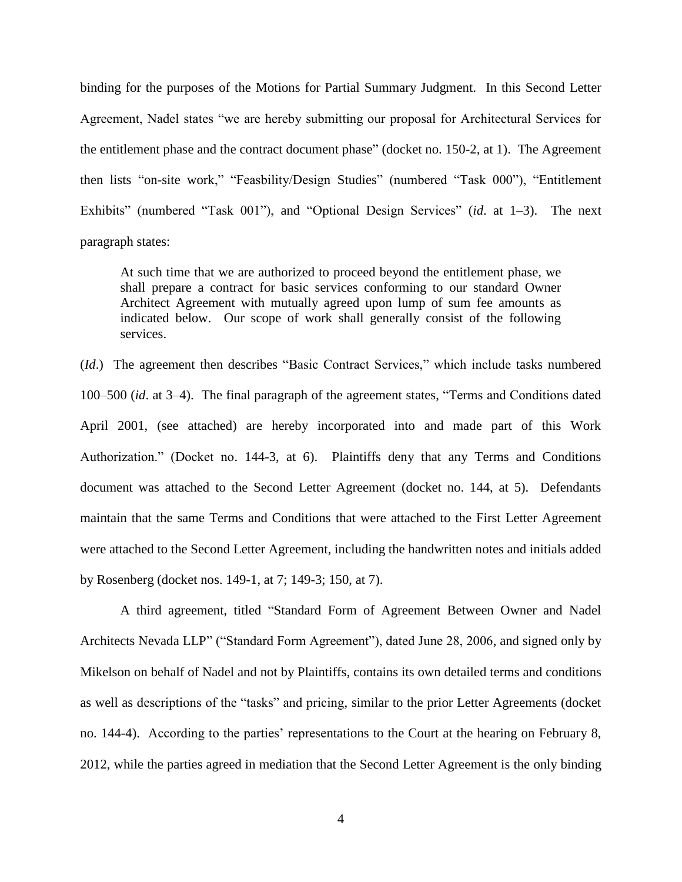binding for the purposes of the Motions for Partial Summary Judgment. In this Second Letter Agreement, Nadel states "we are hereby submitting our proposal for Architectural Services for the entitlement phase and the contract document phase" (docket no. 150-2, at 1). The Agreement then lists "on-site work," "Feasbility/Design Studies" (numbered "Task 000"), "Entitlement Exhibits" (numbered "Task 001"), and "Optional Design Services" (*id*. at 1–3). The next paragraph states:

At such time that we are authorized to proceed beyond the entitlement phase, we shall prepare a contract for basic services conforming to our standard Owner Architect Agreement with mutually agreed upon lump of sum fee amounts as indicated below. Our scope of work shall generally consist of the following services.

(*Id*.) The agreement then describes "Basic Contract Services," which include tasks numbered 100–500 (*id*. at 3–4). The final paragraph of the agreement states, "Terms and Conditions dated April 2001, (see attached) are hereby incorporated into and made part of this Work Authorization." (Docket no. 144-3, at 6). Plaintiffs deny that any Terms and Conditions document was attached to the Second Letter Agreement (docket no. 144, at 5). Defendants maintain that the same Terms and Conditions that were attached to the First Letter Agreement were attached to the Second Letter Agreement, including the handwritten notes and initials added by Rosenberg (docket nos. 149-1, at 7; 149-3; 150, at 7).

A third agreement, titled "Standard Form of Agreement Between Owner and Nadel Architects Nevada LLP" ("Standard Form Agreement"), dated June 28, 2006, and signed only by Mikelson on behalf of Nadel and not by Plaintiffs, contains its own detailed terms and conditions as well as descriptions of the "tasks" and pricing, similar to the prior Letter Agreements (docket no. 144-4). According to the parties' representations to the Court at the hearing on February 8, 2012, while the parties agreed in mediation that the Second Letter Agreement is the only binding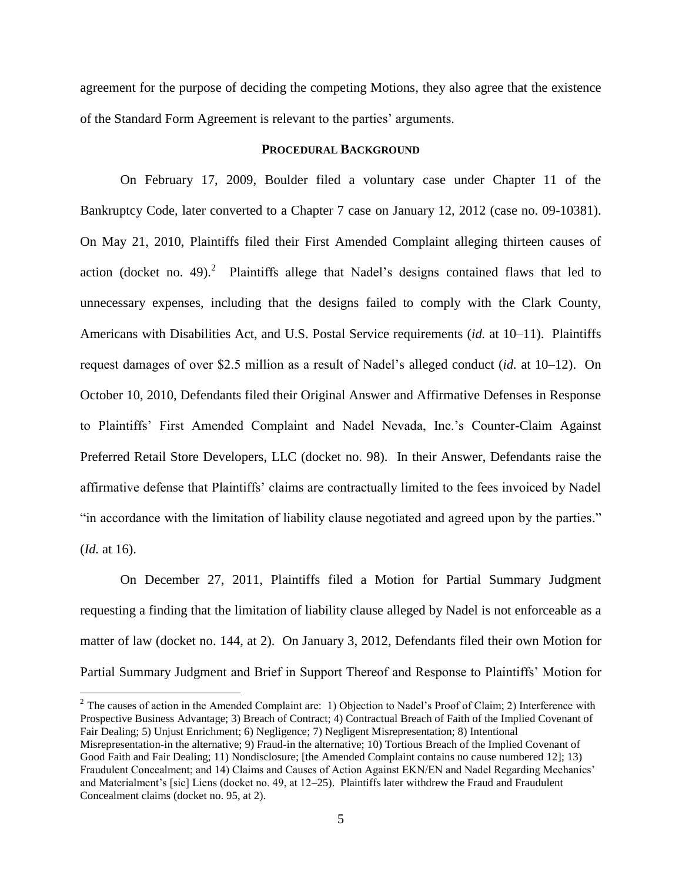agreement for the purpose of deciding the competing Motions, they also agree that the existence of the Standard Form Agreement is relevant to the parties' arguments.

# **PROCEDURAL BACKGROUND**

On February 17, 2009, Boulder filed a voluntary case under Chapter 11 of the Bankruptcy Code, later converted to a Chapter 7 case on January 12, 2012 (case no. 09-10381). On May 21, 2010, Plaintiffs filed their First Amended Complaint alleging thirteen causes of action (docket no. 49).<sup>2</sup> Plaintiffs allege that Nadel's designs contained flaws that led to unnecessary expenses, including that the designs failed to comply with the Clark County, Americans with Disabilities Act, and U.S. Postal Service requirements (*id.* at 10–11). Plaintiffs request damages of over \$2.5 million as a result of Nadel's alleged conduct (*id.* at 10–12). On October 10, 2010, Defendants filed their Original Answer and Affirmative Defenses in Response to Plaintiffs' First Amended Complaint and Nadel Nevada, Inc.'s Counter-Claim Against Preferred Retail Store Developers, LLC (docket no. 98). In their Answer, Defendants raise the affirmative defense that Plaintiffs' claims are contractually limited to the fees invoiced by Nadel "in accordance with the limitation of liability clause negotiated and agreed upon by the parties." (*Id.* at 16).

On December 27, 2011, Plaintiffs filed a Motion for Partial Summary Judgment requesting a finding that the limitation of liability clause alleged by Nadel is not enforceable as a matter of law (docket no. 144, at 2). On January 3, 2012, Defendants filed their own Motion for Partial Summary Judgment and Brief in Support Thereof and Response to Plaintiffs' Motion for

 $2$  The causes of action in the Amended Complaint are: 1) Objection to Nadel's Proof of Claim; 2) Interference with Prospective Business Advantage; 3) Breach of Contract; 4) Contractual Breach of Faith of the Implied Covenant of Fair Dealing; 5) Unjust Enrichment; 6) Negligence; 7) Negligent Misrepresentation; 8) Intentional Misrepresentation-in the alternative; 9) Fraud-in the alternative; 10) Tortious Breach of the Implied Covenant of Good Faith and Fair Dealing; 11) Nondisclosure; [the Amended Complaint contains no cause numbered 12]; 13) Fraudulent Concealment; and 14) Claims and Causes of Action Against EKN/EN and Nadel Regarding Mechanics' and Materialment's [sic] Liens (docket no. 49, at 12–25). Plaintiffs later withdrew the Fraud and Fraudulent Concealment claims (docket no. 95, at 2).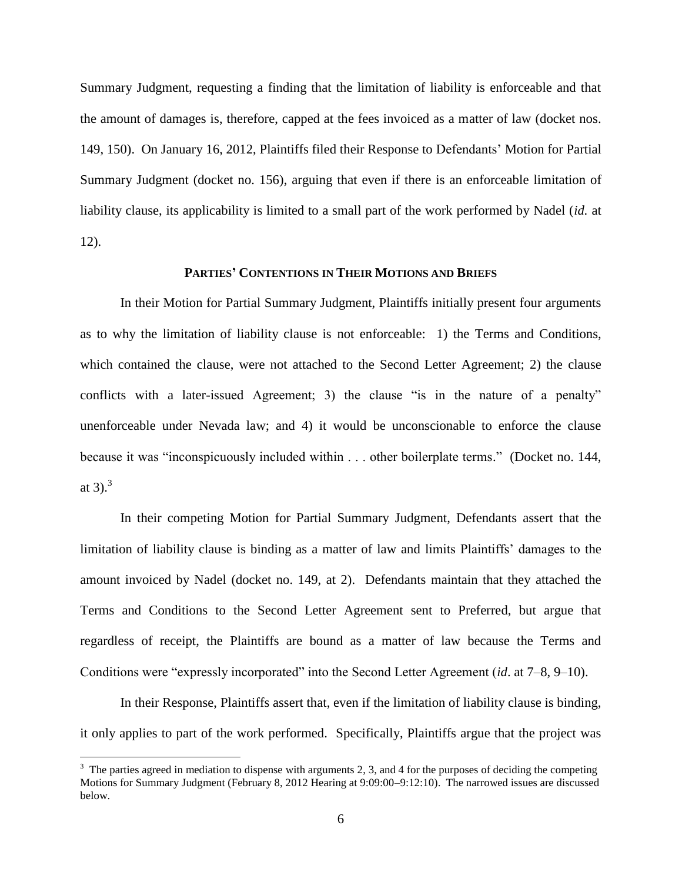Summary Judgment, requesting a finding that the limitation of liability is enforceable and that the amount of damages is, therefore, capped at the fees invoiced as a matter of law (docket nos. 149, 150). On January 16, 2012, Plaintiffs filed their Response to Defendants' Motion for Partial Summary Judgment (docket no. 156), arguing that even if there is an enforceable limitation of liability clause, its applicability is limited to a small part of the work performed by Nadel (*id.* at 12).

#### **PARTIES' CONTENTIONS IN THEIR MOTIONS AND BRIEFS**

In their Motion for Partial Summary Judgment, Plaintiffs initially present four arguments as to why the limitation of liability clause is not enforceable: 1) the Terms and Conditions, which contained the clause, were not attached to the Second Letter Agreement; 2) the clause conflicts with a later-issued Agreement; 3) the clause "is in the nature of a penalty" unenforceable under Nevada law; and 4) it would be unconscionable to enforce the clause because it was "inconspicuously included within . . . other boilerplate terms." (Docket no. 144, at 3).<sup>3</sup>

In their competing Motion for Partial Summary Judgment, Defendants assert that the limitation of liability clause is binding as a matter of law and limits Plaintiffs' damages to the amount invoiced by Nadel (docket no. 149, at 2). Defendants maintain that they attached the Terms and Conditions to the Second Letter Agreement sent to Preferred, but argue that regardless of receipt, the Plaintiffs are bound as a matter of law because the Terms and Conditions were "expressly incorporated" into the Second Letter Agreement (*id*. at 7–8, 9–10).

In their Response, Plaintiffs assert that, even if the limitation of liability clause is binding, it only applies to part of the work performed. Specifically, Plaintiffs argue that the project was

 $3$  The parties agreed in mediation to dispense with arguments 2, 3, and 4 for the purposes of deciding the competing Motions for Summary Judgment (February 8, 2012 Hearing at 9:09:00–9:12:10). The narrowed issues are discussed below.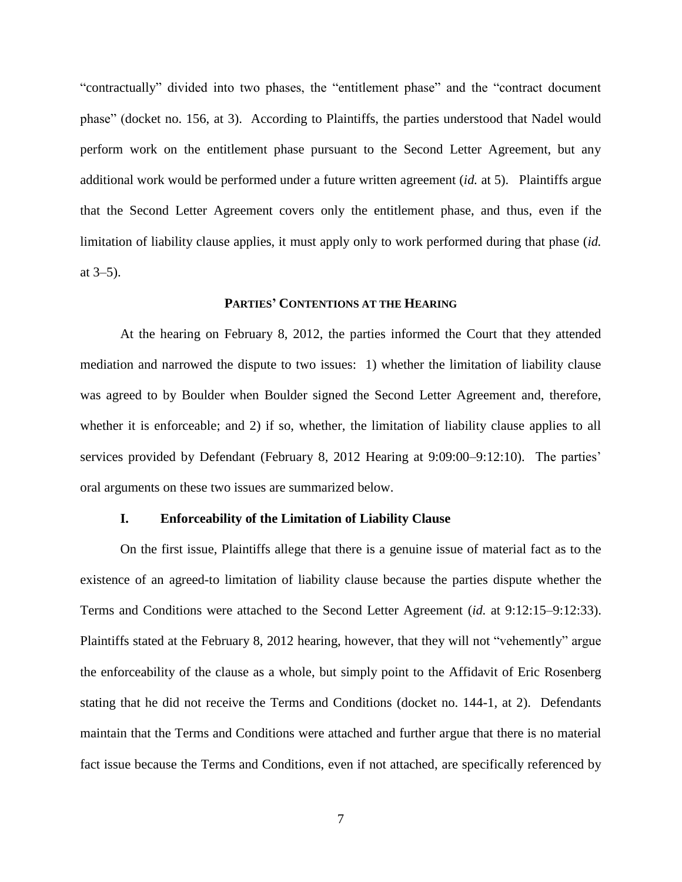"contractually" divided into two phases, the "entitlement phase" and the "contract document phase" (docket no. 156, at 3). According to Plaintiffs, the parties understood that Nadel would perform work on the entitlement phase pursuant to the Second Letter Agreement, but any additional work would be performed under a future written agreement (*id.* at 5). Plaintiffs argue that the Second Letter Agreement covers only the entitlement phase, and thus, even if the limitation of liability clause applies, it must apply only to work performed during that phase (*id.* at 3–5).

#### **PARTIES' CONTENTIONS AT THE HEARING**

At the hearing on February 8, 2012, the parties informed the Court that they attended mediation and narrowed the dispute to two issues: 1) whether the limitation of liability clause was agreed to by Boulder when Boulder signed the Second Letter Agreement and, therefore, whether it is enforceable; and 2) if so, whether, the limitation of liability clause applies to all services provided by Defendant (February 8, 2012 Hearing at 9:09:00–9:12:10). The parties' oral arguments on these two issues are summarized below.

# **I. Enforceability of the Limitation of Liability Clause**

On the first issue, Plaintiffs allege that there is a genuine issue of material fact as to the existence of an agreed-to limitation of liability clause because the parties dispute whether the Terms and Conditions were attached to the Second Letter Agreement (*id.* at 9:12:15–9:12:33). Plaintiffs stated at the February 8, 2012 hearing, however, that they will not "vehemently" argue the enforceability of the clause as a whole, but simply point to the Affidavit of Eric Rosenberg stating that he did not receive the Terms and Conditions (docket no. 144-1, at 2). Defendants maintain that the Terms and Conditions were attached and further argue that there is no material fact issue because the Terms and Conditions, even if not attached, are specifically referenced by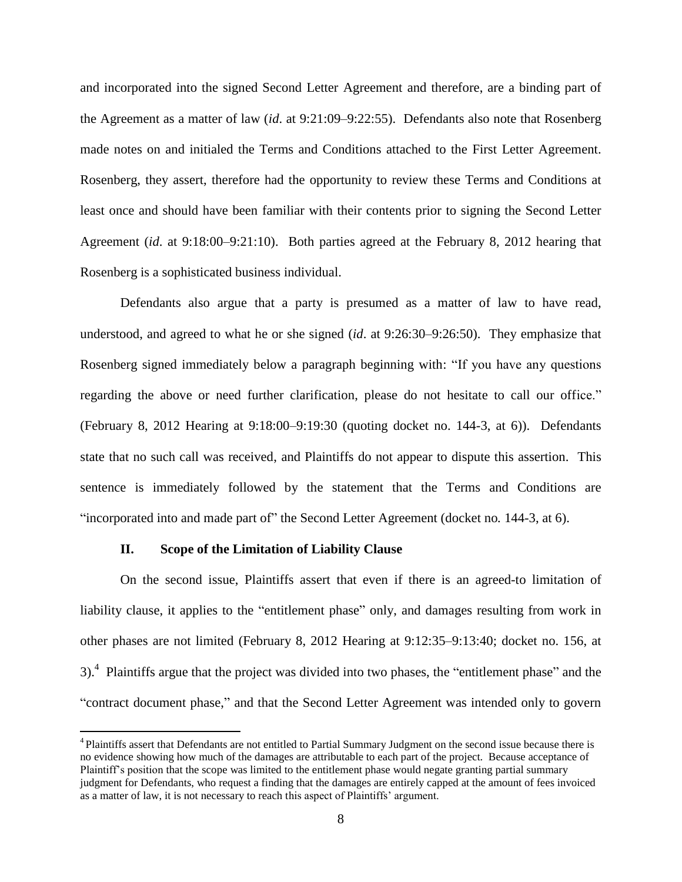and incorporated into the signed Second Letter Agreement and therefore, are a binding part of the Agreement as a matter of law (*id*. at 9:21:09–9:22:55). Defendants also note that Rosenberg made notes on and initialed the Terms and Conditions attached to the First Letter Agreement. Rosenberg, they assert, therefore had the opportunity to review these Terms and Conditions at least once and should have been familiar with their contents prior to signing the Second Letter Agreement (*id*. at 9:18:00–9:21:10). Both parties agreed at the February 8, 2012 hearing that Rosenberg is a sophisticated business individual.

Defendants also argue that a party is presumed as a matter of law to have read, understood, and agreed to what he or she signed (*id*. at 9:26:30–9:26:50). They emphasize that Rosenberg signed immediately below a paragraph beginning with: "If you have any questions regarding the above or need further clarification, please do not hesitate to call our office." (February 8, 2012 Hearing at 9:18:00–9:19:30 (quoting docket no. 144-3, at 6)). Defendants state that no such call was received, and Plaintiffs do not appear to dispute this assertion. This sentence is immediately followed by the statement that the Terms and Conditions are "incorporated into and made part of" the Second Letter Agreement (docket no*.* 144-3, at 6).

#### **II. Scope of the Limitation of Liability Clause**

 $\overline{a}$ 

On the second issue, Plaintiffs assert that even if there is an agreed-to limitation of liability clause, it applies to the "entitlement phase" only, and damages resulting from work in other phases are not limited (February 8, 2012 Hearing at 9:12:35–9:13:40; docket no. 156, at  $3$ ).<sup>4</sup> Plaintiffs argue that the project was divided into two phases, the "entitlement phase" and the "contract document phase," and that the Second Letter Agreement was intended only to govern

<sup>&</sup>lt;sup>4</sup> Plaintiffs assert that Defendants are not entitled to Partial Summary Judgment on the second issue because there is no evidence showing how much of the damages are attributable to each part of the project. Because acceptance of Plaintiff's position that the scope was limited to the entitlement phase would negate granting partial summary judgment for Defendants, who request a finding that the damages are entirely capped at the amount of fees invoiced as a matter of law, it is not necessary to reach this aspect of Plaintiffs' argument.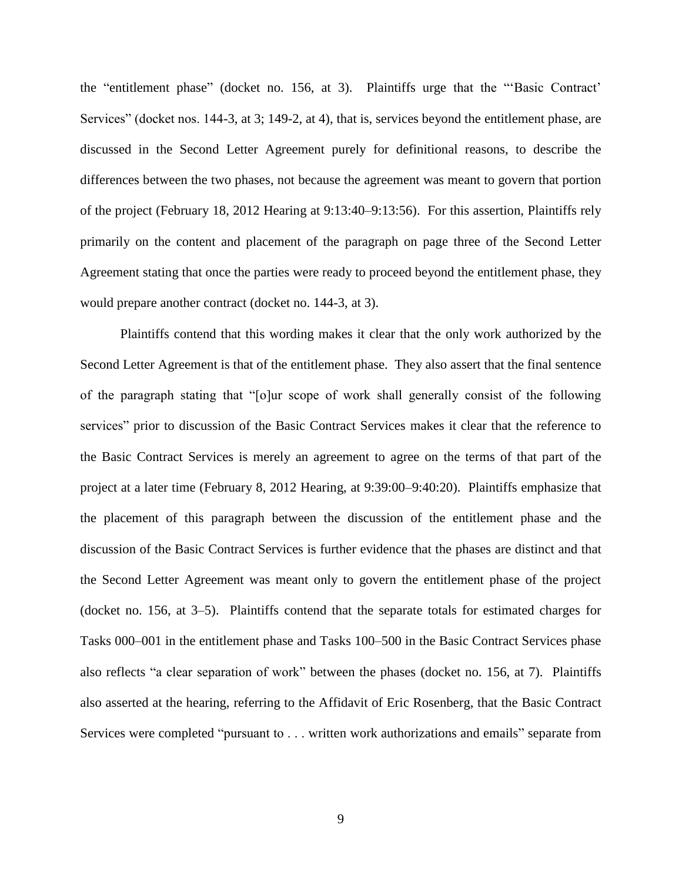the "entitlement phase" (docket no. 156, at 3). Plaintiffs urge that the "'Basic Contract' Services" (docket nos. 144-3, at 3; 149-2, at 4), that is, services beyond the entitlement phase, are discussed in the Second Letter Agreement purely for definitional reasons, to describe the differences between the two phases, not because the agreement was meant to govern that portion of the project (February 18, 2012 Hearing at 9:13:40–9:13:56). For this assertion, Plaintiffs rely primarily on the content and placement of the paragraph on page three of the Second Letter Agreement stating that once the parties were ready to proceed beyond the entitlement phase, they would prepare another contract (docket no. 144-3, at 3).

Plaintiffs contend that this wording makes it clear that the only work authorized by the Second Letter Agreement is that of the entitlement phase. They also assert that the final sentence of the paragraph stating that "[o]ur scope of work shall generally consist of the following services" prior to discussion of the Basic Contract Services makes it clear that the reference to the Basic Contract Services is merely an agreement to agree on the terms of that part of the project at a later time (February 8, 2012 Hearing, at 9:39:00–9:40:20). Plaintiffs emphasize that the placement of this paragraph between the discussion of the entitlement phase and the discussion of the Basic Contract Services is further evidence that the phases are distinct and that the Second Letter Agreement was meant only to govern the entitlement phase of the project (docket no. 156, at 3–5). Plaintiffs contend that the separate totals for estimated charges for Tasks 000–001 in the entitlement phase and Tasks 100–500 in the Basic Contract Services phase also reflects "a clear separation of work" between the phases (docket no. 156, at 7). Plaintiffs also asserted at the hearing, referring to the Affidavit of Eric Rosenberg, that the Basic Contract Services were completed "pursuant to . . . written work authorizations and emails" separate from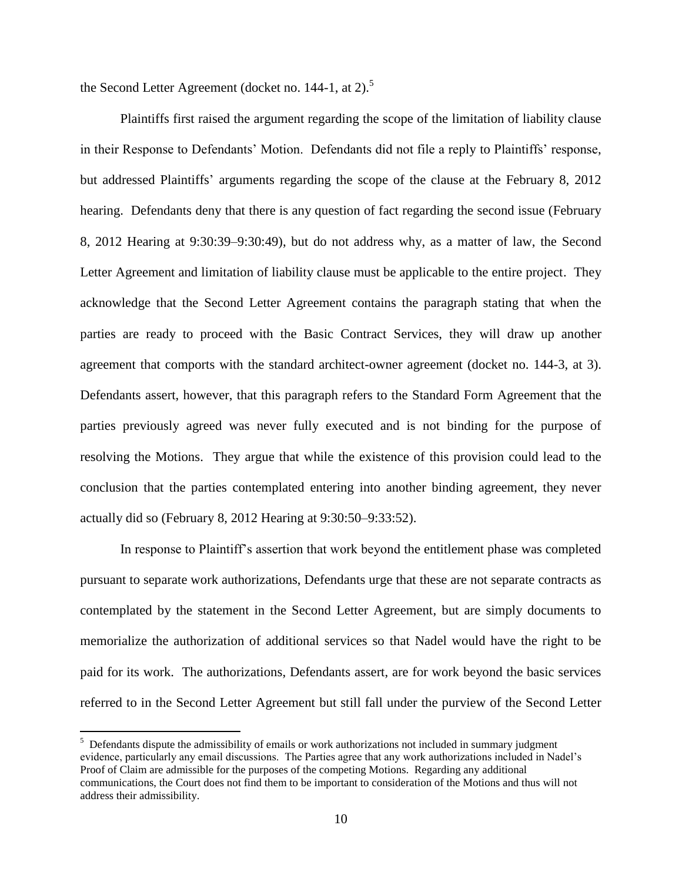the Second Letter Agreement (docket no. 144-1, at 2).<sup>5</sup>

Plaintiffs first raised the argument regarding the scope of the limitation of liability clause in their Response to Defendants' Motion. Defendants did not file a reply to Plaintiffs' response, but addressed Plaintiffs' arguments regarding the scope of the clause at the February 8, 2012 hearing. Defendants deny that there is any question of fact regarding the second issue (February 8, 2012 Hearing at 9:30:39–9:30:49), but do not address why, as a matter of law, the Second Letter Agreement and limitation of liability clause must be applicable to the entire project. They acknowledge that the Second Letter Agreement contains the paragraph stating that when the parties are ready to proceed with the Basic Contract Services, they will draw up another agreement that comports with the standard architect-owner agreement (docket no. 144-3, at 3). Defendants assert, however, that this paragraph refers to the Standard Form Agreement that the parties previously agreed was never fully executed and is not binding for the purpose of resolving the Motions. They argue that while the existence of this provision could lead to the conclusion that the parties contemplated entering into another binding agreement, they never actually did so (February 8, 2012 Hearing at 9:30:50–9:33:52).

In response to Plaintiff's assertion that work beyond the entitlement phase was completed pursuant to separate work authorizations, Defendants urge that these are not separate contracts as contemplated by the statement in the Second Letter Agreement, but are simply documents to memorialize the authorization of additional services so that Nadel would have the right to be paid for its work. The authorizations, Defendants assert, are for work beyond the basic services referred to in the Second Letter Agreement but still fall under the purview of the Second Letter

<sup>&</sup>lt;sup>5</sup> Defendants dispute the admissibility of emails or work authorizations not included in summary judgment evidence, particularly any email discussions. The Parties agree that any work authorizations included in Nadel's Proof of Claim are admissible for the purposes of the competing Motions. Regarding any additional communications, the Court does not find them to be important to consideration of the Motions and thus will not address their admissibility.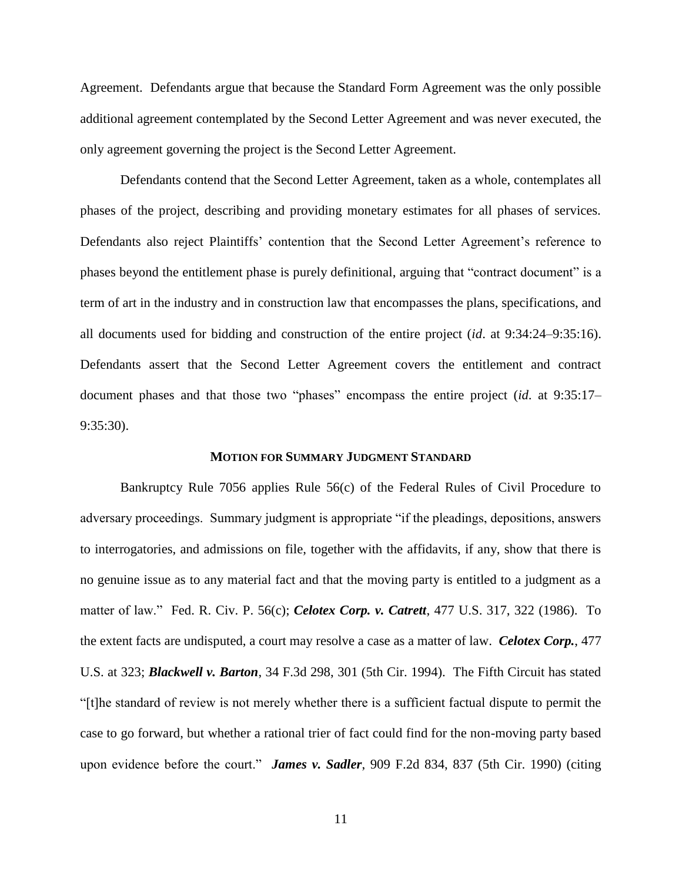Agreement. Defendants argue that because the Standard Form Agreement was the only possible additional agreement contemplated by the Second Letter Agreement and was never executed, the only agreement governing the project is the Second Letter Agreement.

Defendants contend that the Second Letter Agreement, taken as a whole, contemplates all phases of the project, describing and providing monetary estimates for all phases of services. Defendants also reject Plaintiffs' contention that the Second Letter Agreement's reference to phases beyond the entitlement phase is purely definitional, arguing that "contract document" is a term of art in the industry and in construction law that encompasses the plans, specifications, and all documents used for bidding and construction of the entire project (*id*. at 9:34:24–9:35:16). Defendants assert that the Second Letter Agreement covers the entitlement and contract document phases and that those two "phases" encompass the entire project (*id*. at 9:35:17– 9:35:30).

### **MOTION FOR SUMMARY JUDGMENT STANDARD**

Bankruptcy Rule 7056 applies Rule 56(c) of the Federal Rules of Civil Procedure to adversary proceedings. Summary judgment is appropriate "if the pleadings, depositions, answers to interrogatories, and admissions on file, together with the affidavits, if any, show that there is no genuine issue as to any material fact and that the moving party is entitled to a judgment as a matter of law." Fed. R. Civ. P. 56(c); *Celotex Corp. v. Catrett*, 477 U.S. 317, 322 (1986). To the extent facts are undisputed, a court may resolve a case as a matter of law. *Celotex Corp.*, 477 U.S. at 323; *Blackwell v. Barton*, 34 F.3d 298, 301 (5th Cir. 1994). The Fifth Circuit has stated "[t]he standard of review is not merely whether there is a sufficient factual dispute to permit the case to go forward, but whether a rational trier of fact could find for the non-moving party based upon evidence before the court." *James v. Sadler*, 909 F.2d 834, 837 (5th Cir. 1990) (citing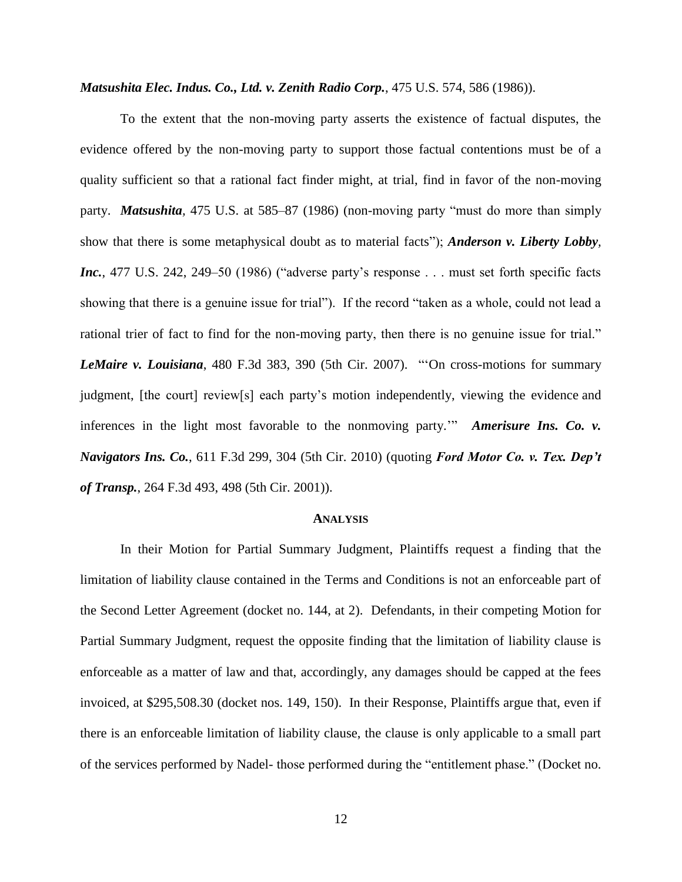*Matsushita Elec. Indus. Co., Ltd. v. Zenith Radio Corp.*, 475 U.S. 574, 586 (1986)).

To the extent that the non-moving party asserts the existence of factual disputes, the evidence offered by the non-moving party to support those factual contentions must be of a quality sufficient so that a rational fact finder might, at trial, find in favor of the non-moving party. *Matsushita,* 475 U.S. at 585–87 (1986) (non-moving party "must do more than simply show that there is some metaphysical doubt as to material facts"); *Anderson v. Liberty Lobby, Inc.*, 477 U.S. 242, 249–50 (1986) ("adverse party's response . . . must set forth specific facts showing that there is a genuine issue for trial"). If the record "taken as a whole, could not lead a rational trier of fact to find for the non-moving party, then there is no genuine issue for trial." *LeMaire v. Louisiana*, 480 F.3d 383, 390 (5th Cir. 2007). "'On cross-motions for summary judgment, [the court] review[s] each party's motion independently, viewing the evidence and inferences in the light most favorable to the nonmoving party.'" *Amerisure Ins. Co. v. Navigators Ins. Co.*, 611 F.3d 299, 304 (5th Cir. 2010) (quoting *Ford Motor Co. v. Tex. Dep't of Transp.*, 264 F.3d 493, 498 (5th Cir. 2001)).

#### **ANALYSIS**

In their Motion for Partial Summary Judgment, Plaintiffs request a finding that the limitation of liability clause contained in the Terms and Conditions is not an enforceable part of the Second Letter Agreement (docket no. 144, at 2). Defendants, in their competing Motion for Partial Summary Judgment, request the opposite finding that the limitation of liability clause is enforceable as a matter of law and that, accordingly, any damages should be capped at the fees invoiced, at \$295,508.30 (docket nos. 149, 150). In their Response, Plaintiffs argue that, even if there is an enforceable limitation of liability clause, the clause is only applicable to a small part of the services performed by Nadel- those performed during the "entitlement phase." (Docket no.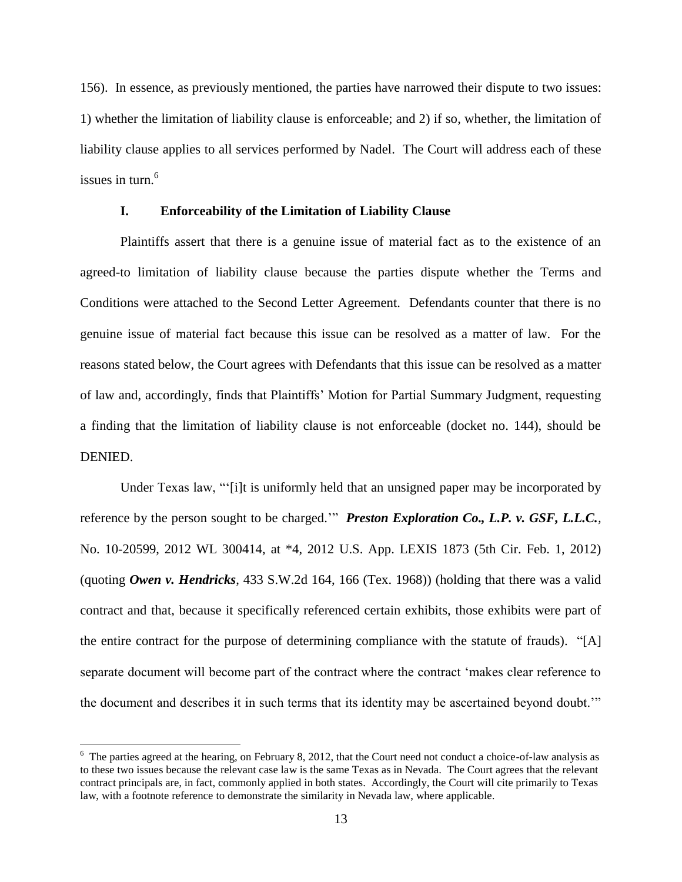156). In essence, as previously mentioned, the parties have narrowed their dispute to two issues: 1) whether the limitation of liability clause is enforceable; and 2) if so, whether, the limitation of liability clause applies to all services performed by Nadel. The Court will address each of these issues in turn.<sup>6</sup>

# **I. Enforceability of the Limitation of Liability Clause**

Plaintiffs assert that there is a genuine issue of material fact as to the existence of an agreed-to limitation of liability clause because the parties dispute whether the Terms and Conditions were attached to the Second Letter Agreement. Defendants counter that there is no genuine issue of material fact because this issue can be resolved as a matter of law. For the reasons stated below, the Court agrees with Defendants that this issue can be resolved as a matter of law and, accordingly, finds that Plaintiffs' Motion for Partial Summary Judgment, requesting a finding that the limitation of liability clause is not enforceable (docket no. 144), should be DENIED.

Under Texas law, "'[i]t is uniformly held that an unsigned paper may be incorporated by reference by the person sought to be charged.'" *Preston Exploration Co., L.P. v. GSF, L.L.C.,*  No. 10-20599, 2012 WL 300414, at \*4, 2012 U.S. App. LEXIS 1873 (5th Cir. Feb. 1, 2012) (quoting *Owen v. Hendricks*, 433 S.W.2d 164, 166 (Tex. 1968)) (holding that there was a valid contract and that, because it specifically referenced certain exhibits, those exhibits were part of the entire contract for the purpose of determining compliance with the statute of frauds). "[A] separate document will become part of the contract where the contract 'makes clear reference to the document and describes it in such terms that its identity may be ascertained beyond doubt.'"

 $6\text{ The parties agreed at the hearing, on February 8, 2012, that the Court need not conduct a choice-of-law analysis as }$ to these two issues because the relevant case law is the same Texas as in Nevada. The Court agrees that the relevant contract principals are, in fact, commonly applied in both states. Accordingly, the Court will cite primarily to Texas law, with a footnote reference to demonstrate the similarity in Nevada law, where applicable.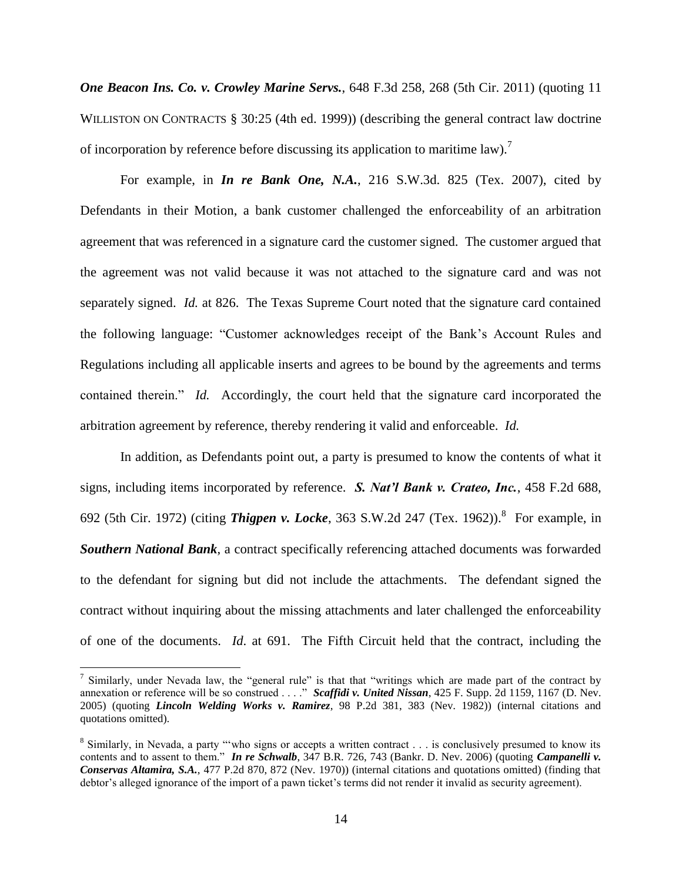*One Beacon Ins. Co. v. Crowley Marine Servs.*, 648 F.3d 258, 268 (5th Cir. 2011) (quoting 11 WILLISTON ON CONTRACTS § 30:25 (4th ed. 1999)) (describing the general contract law doctrine of incorporation by reference before discussing its application to maritime law).<sup>7</sup>

For example, in *In re Bank One, N.A.*, 216 S.W.3d. 825 (Tex. 2007), cited by Defendants in their Motion, a bank customer challenged the enforceability of an arbitration agreement that was referenced in a signature card the customer signed. The customer argued that the agreement was not valid because it was not attached to the signature card and was not separately signed. *Id.* at 826. The Texas Supreme Court noted that the signature card contained the following language: "Customer acknowledges receipt of the Bank's Account Rules and Regulations including all applicable inserts and agrees to be bound by the agreements and terms contained therein." *Id.* Accordingly, the court held that the signature card incorporated the arbitration agreement by reference, thereby rendering it valid and enforceable. *Id.*

In addition, as Defendants point out, a party is presumed to know the contents of what it signs, including items incorporated by reference. *S. Nat'l Bank v. Crateo, Inc.*, 458 F.2d 688, 692 (5th Cir. 1972) (citing *Thigpen v. Locke*, 363 S.W.2d 247 (Tex. 1962)).<sup>8</sup> For example, in *Southern National Bank*, a contract specifically referencing attached documents was forwarded to the defendant for signing but did not include the attachments. The defendant signed the contract without inquiring about the missing attachments and later challenged the enforceability of one of the documents. *Id*. at 691. The Fifth Circuit held that the contract, including the

<sup>&</sup>lt;sup>7</sup> Similarly, under Nevada law, the "general rule" is that that "writings which are made part of the contract by annexation or reference will be so construed . . . ." *Scaffidi v. United Nissan*, 425 F. Supp. 2d 1159, 1167 (D. Nev. 2005) (quoting *Lincoln Welding Works v. Ramirez*, 98 P.2d 381, 383 (Nev. 1982)) (internal citations and quotations omitted)*.*

<sup>&</sup>lt;sup>8</sup> Similarly, in Nevada, a party "who signs or accepts a written contract . . . is conclusively presumed to know its contents and to assent to them." *In re Schwalb*, 347 B.R. 726, 743 (Bankr. D. Nev. 2006) (quoting *Campanelli v. Conservas Altamira, S.A.*, 477 P.2d 870, 872 (Nev. 1970)) (internal citations and quotations omitted) (finding that debtor's alleged ignorance of the import of a pawn ticket's terms did not render it invalid as security agreement).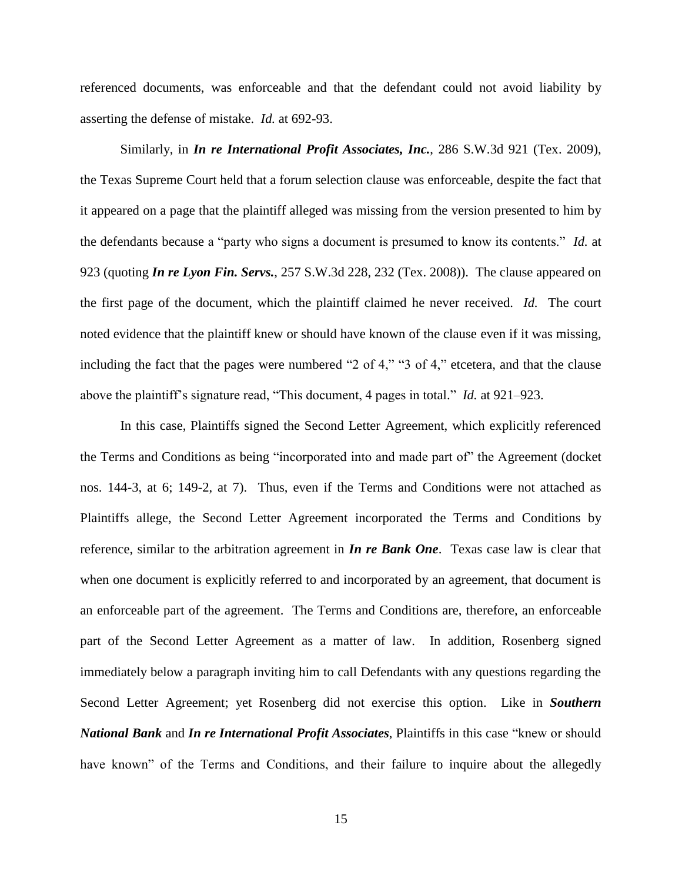referenced documents, was enforceable and that the defendant could not avoid liability by asserting the defense of mistake. *Id.* at 692-93.

Similarly, in *In re International Profit Associates, Inc.*, 286 S.W.3d 921 (Tex. 2009), the Texas Supreme Court held that a forum selection clause was enforceable, despite the fact that it appeared on a page that the plaintiff alleged was missing from the version presented to him by the defendants because a "party who signs a document is presumed to know its contents." *Id.* at 923 (quoting *In re Lyon Fin. Servs.*, 257 S.W.3d 228, 232 (Tex. 2008)). The clause appeared on the first page of the document, which the plaintiff claimed he never received. *Id.* The court noted evidence that the plaintiff knew or should have known of the clause even if it was missing, including the fact that the pages were numbered "2 of 4," "3 of 4," etcetera, and that the clause above the plaintiff's signature read, "This document, 4 pages in total." *Id.* at 921–923.

In this case, Plaintiffs signed the Second Letter Agreement, which explicitly referenced the Terms and Conditions as being "incorporated into and made part of" the Agreement (docket nos. 144-3, at 6; 149-2, at 7). Thus, even if the Terms and Conditions were not attached as Plaintiffs allege, the Second Letter Agreement incorporated the Terms and Conditions by reference, similar to the arbitration agreement in *In re Bank One*. Texas case law is clear that when one document is explicitly referred to and incorporated by an agreement, that document is an enforceable part of the agreement. The Terms and Conditions are, therefore, an enforceable part of the Second Letter Agreement as a matter of law. In addition, Rosenberg signed immediately below a paragraph inviting him to call Defendants with any questions regarding the Second Letter Agreement; yet Rosenberg did not exercise this option. Like in *Southern National Bank* and *In re International Profit Associates*, Plaintiffs in this case "knew or should have known" of the Terms and Conditions, and their failure to inquire about the allegedly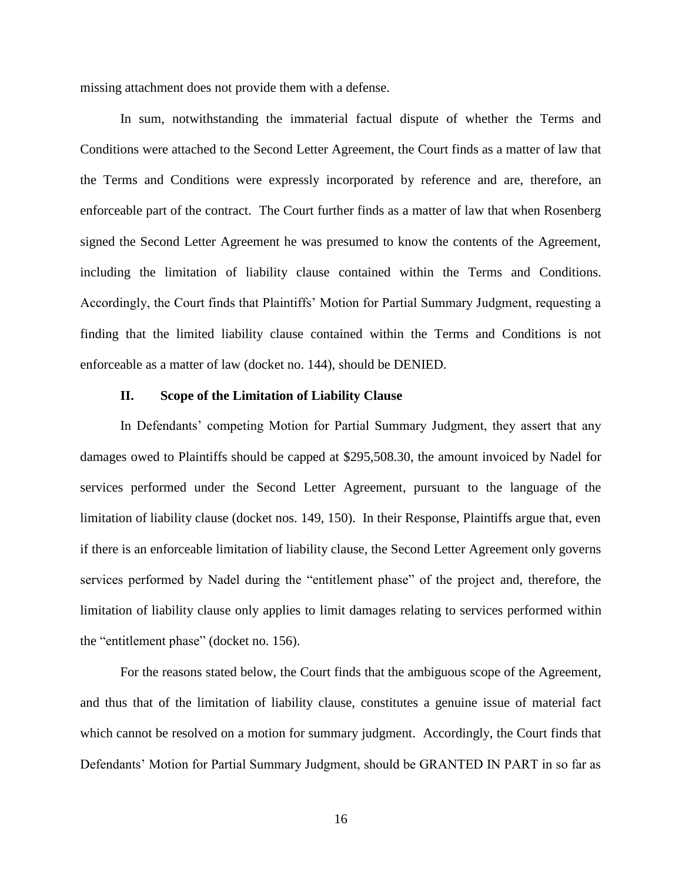missing attachment does not provide them with a defense.

In sum, notwithstanding the immaterial factual dispute of whether the Terms and Conditions were attached to the Second Letter Agreement, the Court finds as a matter of law that the Terms and Conditions were expressly incorporated by reference and are, therefore, an enforceable part of the contract. The Court further finds as a matter of law that when Rosenberg signed the Second Letter Agreement he was presumed to know the contents of the Agreement, including the limitation of liability clause contained within the Terms and Conditions. Accordingly, the Court finds that Plaintiffs' Motion for Partial Summary Judgment, requesting a finding that the limited liability clause contained within the Terms and Conditions is not enforceable as a matter of law (docket no. 144), should be DENIED.

# **II. Scope of the Limitation of Liability Clause**

In Defendants' competing Motion for Partial Summary Judgment, they assert that any damages owed to Plaintiffs should be capped at \$295,508.30, the amount invoiced by Nadel for services performed under the Second Letter Agreement, pursuant to the language of the limitation of liability clause (docket nos. 149, 150). In their Response, Plaintiffs argue that, even if there is an enforceable limitation of liability clause, the Second Letter Agreement only governs services performed by Nadel during the "entitlement phase" of the project and, therefore, the limitation of liability clause only applies to limit damages relating to services performed within the "entitlement phase" (docket no. 156).

For the reasons stated below, the Court finds that the ambiguous scope of the Agreement, and thus that of the limitation of liability clause, constitutes a genuine issue of material fact which cannot be resolved on a motion for summary judgment. Accordingly, the Court finds that Defendants' Motion for Partial Summary Judgment, should be GRANTED IN PART in so far as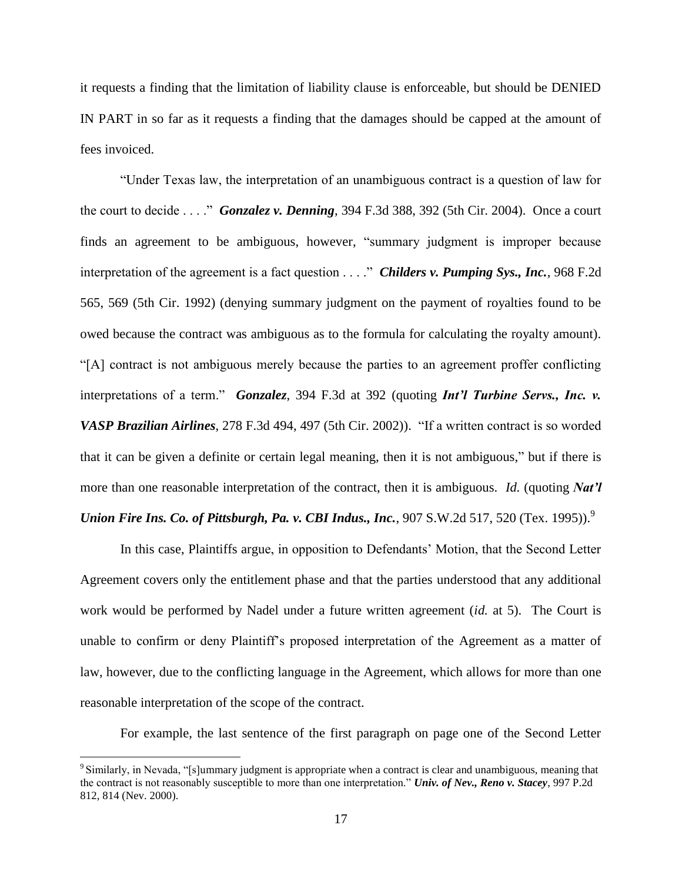it requests a finding that the limitation of liability clause is enforceable, but should be DENIED IN PART in so far as it requests a finding that the damages should be capped at the amount of fees invoiced.

"Under Texas law, the interpretation of an unambiguous contract is a question of law for the court to decide . . . ." *Gonzalez v. Denning*, 394 F.3d 388, 392 (5th Cir. 2004). Once a court finds an agreement to be ambiguous, however, "summary judgment is improper because interpretation of the agreement is a fact question . . . ." *Childers v. Pumping Sys., Inc.*, 968 F.2d 565, 569 (5th Cir. 1992) (denying summary judgment on the payment of royalties found to be owed because the contract was ambiguous as to the formula for calculating the royalty amount). "[A] contract is not ambiguous merely because the parties to an agreement proffer conflicting interpretations of a term." *Gonzalez*, 394 F.3d at 392 (quoting *Int'l Turbine Servs., Inc. v. VASP Brazilian Airlines*, 278 F.3d 494, 497 (5th Cir. 2002)). "If a written contract is so worded that it can be given a definite or certain legal meaning, then it is not ambiguous," but if there is more than one reasonable interpretation of the contract, then it is ambiguous. *Id.* (quoting *Nat'l Union Fire Ins. Co. of Pittsburgh, Pa. v. CBI Indus., Inc., 907 S.W.2d 517, 520 (Tex. 1995)).*<sup>9</sup>

In this case, Plaintiffs argue, in opposition to Defendants' Motion, that the Second Letter Agreement covers only the entitlement phase and that the parties understood that any additional work would be performed by Nadel under a future written agreement (*id.* at 5). The Court is unable to confirm or deny Plaintiff's proposed interpretation of the Agreement as a matter of law, however, due to the conflicting language in the Agreement, which allows for more than one reasonable interpretation of the scope of the contract.

For example, the last sentence of the first paragraph on page one of the Second Letter

<sup>&</sup>lt;sup>9</sup> Similarly, in Nevada, "[s]ummary judgment is appropriate when a contract is clear and unambiguous, meaning that the contract is not reasonably susceptible to more than one interpretation." *Univ. of Nev., Reno v. Stacey*, 997 P.2d 812, 814 (Nev. 2000).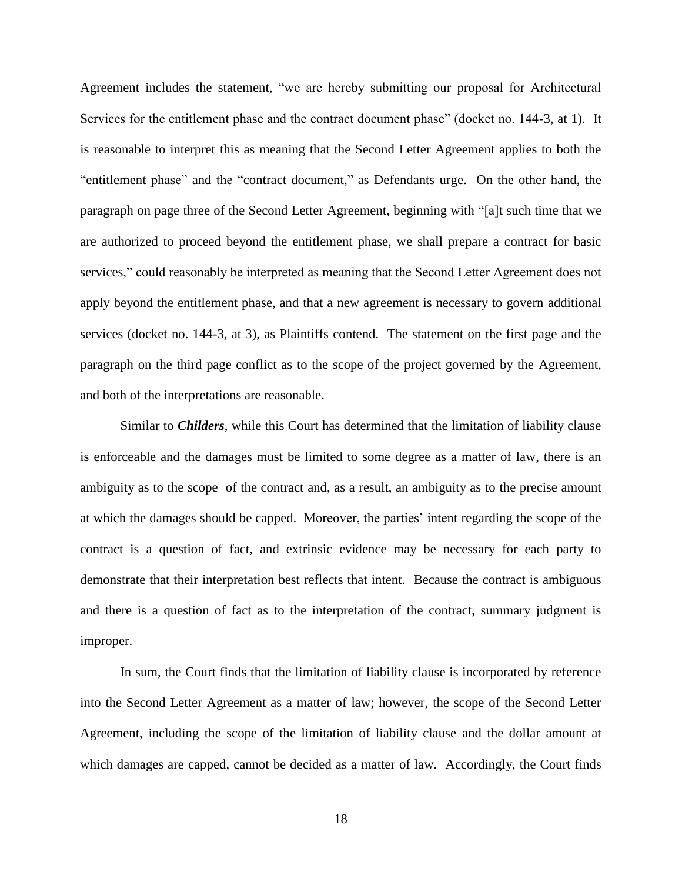Agreement includes the statement, "we are hereby submitting our proposal for Architectural Services for the entitlement phase and the contract document phase" (docket no. 144-3, at 1). It is reasonable to interpret this as meaning that the Second Letter Agreement applies to both the "entitlement phase" and the "contract document," as Defendants urge. On the other hand, the paragraph on page three of the Second Letter Agreement, beginning with "[a]t such time that we are authorized to proceed beyond the entitlement phase, we shall prepare a contract for basic services," could reasonably be interpreted as meaning that the Second Letter Agreement does not apply beyond the entitlement phase, and that a new agreement is necessary to govern additional services (docket no. 144-3, at 3), as Plaintiffs contend. The statement on the first page and the paragraph on the third page conflict as to the scope of the project governed by the Agreement, and both of the interpretations are reasonable.

Similar to *Childers*, while this Court has determined that the limitation of liability clause is enforceable and the damages must be limited to some degree as a matter of law, there is an ambiguity as to the scope of the contract and, as a result, an ambiguity as to the precise amount at which the damages should be capped. Moreover, the parties' intent regarding the scope of the contract is a question of fact, and extrinsic evidence may be necessary for each party to demonstrate that their interpretation best reflects that intent. Because the contract is ambiguous and there is a question of fact as to the interpretation of the contract, summary judgment is improper.

In sum, the Court finds that the limitation of liability clause is incorporated by reference into the Second Letter Agreement as a matter of law; however, the scope of the Second Letter Agreement, including the scope of the limitation of liability clause and the dollar amount at which damages are capped, cannot be decided as a matter of law. Accordingly, the Court finds